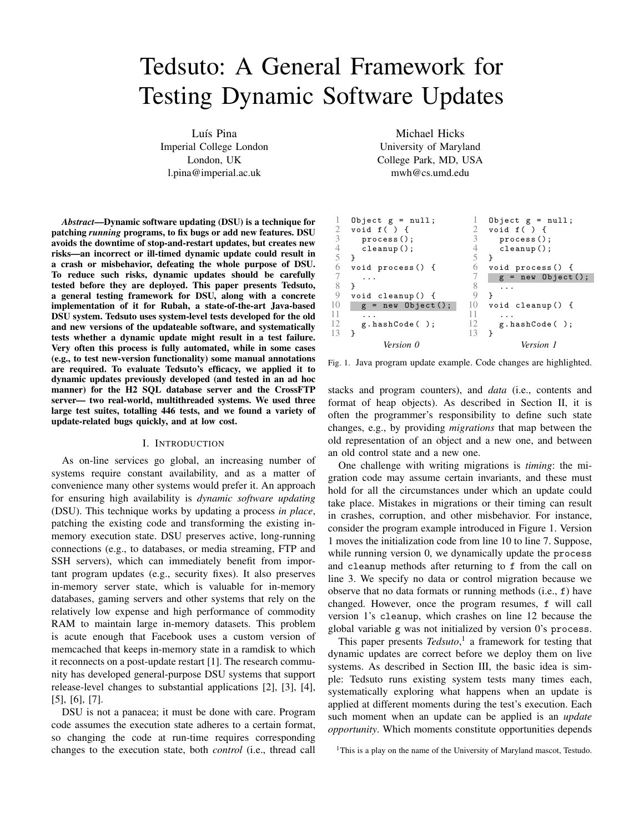# Tedsuto: A General Framework for Testing Dynamic Software Updates

Luís Pina Imperial College London London, UK l.pina@imperial.ac.uk

*Abstract*—Dynamic software updating (DSU) is a technique for patching *running* programs, to fix bugs or add new features. DSU avoids the downtime of stop-and-restart updates, but creates new risks—an incorrect or ill-timed dynamic update could result in a crash or misbehavior, defeating the whole purpose of DSU. To reduce such risks, dynamic updates should be carefully tested before they are deployed. This paper presents Tedsuto, a general testing framework for DSU, along with a concrete implementation of it for Rubah, a state-of-the-art Java-based DSU system. Tedsuto uses system-level tests developed for the old and new versions of the updateable software, and systematically tests whether a dynamic update might result in a test failure. Very often this process is fully automated, while in some cases (e.g., to test new-version functionality) some manual annotations are required. To evaluate Tedsuto's efficacy, we applied it to dynamic updates previously developed (and tested in an ad hoc manner) for the H2 SQL database server and the CrossFTP server— two real-world, multithreaded systems. We used three large test suites, totalling 446 tests, and we found a variety of update-related bugs quickly, and at low cost.

## I. INTRODUCTION

As on-line services go global, an increasing number of systems require constant availability, and as a matter of convenience many other systems would prefer it. An approach for ensuring high availability is *dynamic software updating* (DSU). This technique works by updating a process *in place*, patching the existing code and transforming the existing inmemory execution state. DSU preserves active, long-running connections (e.g., to databases, or media streaming, FTP and SSH servers), which can immediately benefit from important program updates (e.g., security fixes). It also preserves in-memory server state, which is valuable for in-memory databases, gaming servers and other systems that rely on the relatively low expense and high performance of commodity RAM to maintain large in-memory datasets. This problem is acute enough that Facebook uses a custom version of memcached that keeps in-memory state in a ramdisk to which it reconnects on a post-update restart [1]. The research community has developed general-purpose DSU systems that support release-level changes to substantial applications [2], [3], [4], [5], [6], [7].

DSU is not a panacea; it must be done with care. Program code assumes the execution state adheres to a certain format, so changing the code at run-time requires corresponding changes to the execution state, both *control* (i.e., thread call

Michael Hicks University of Maryland College Park, MD, USA mwh@cs.umd.edu



Fig. 1. Java program update example. Code changes are highlighted.

stacks and program counters), and *data* (i.e., contents and format of heap objects). As described in Section II, it is often the programmer's responsibility to define such state changes, e.g., by providing *migrations* that map between the old representation of an object and a new one, and between an old control state and a new one.

One challenge with writing migrations is *timing*: the migration code may assume certain invariants, and these must hold for all the circumstances under which an update could take place. Mistakes in migrations or their timing can result in crashes, corruption, and other misbehavior. For instance, consider the program example introduced in Figure 1. Version 1 moves the initialization code from line 10 to line 7. Suppose, while running version 0, we dynamically update the process and cleanup methods after returning to f from the call on line 3. We specify no data or control migration because we observe that no data formats or running methods (i.e., f) have changed. However, once the program resumes, f will call version 1's cleanup, which crashes on line 12 because the global variable g was not initialized by version 0's process.

This paper presents *Tedsuto*, 1 a framework for testing that dynamic updates are correct before we deploy them on live systems. As described in Section III, the basic idea is simple: Tedsuto runs existing system tests many times each, systematically exploring what happens when an update is applied at different moments during the test's execution. Each such moment when an update can be applied is an *update opportunity*. Which moments constitute opportunities depends

<sup>1</sup>This is a play on the name of the University of Maryland mascot, Testudo.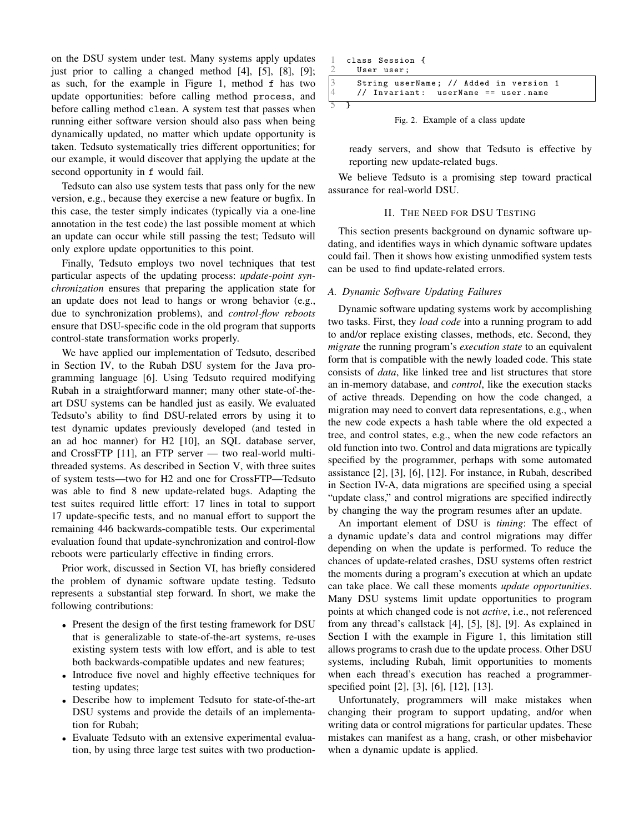on the DSU system under test. Many systems apply updates just prior to calling a changed method [4], [5], [8], [9]; as such, for the example in Figure 1, method f has two update opportunities: before calling method process, and before calling method clean. A system test that passes when running either software version should also pass when being dynamically updated, no matter which update opportunity is taken. Tedsuto systematically tries different opportunities; for our example, it would discover that applying the update at the second opportunity in f would fail.

Tedsuto can also use system tests that pass only for the new version, e.g., because they exercise a new feature or bugfix. In this case, the tester simply indicates (typically via a one-line annotation in the test code) the last possible moment at which an update can occur while still passing the test; Tedsuto will only explore update opportunities to this point.

Finally, Tedsuto employs two novel techniques that test particular aspects of the updating process: *update-point synchronization* ensures that preparing the application state for an update does not lead to hangs or wrong behavior (e.g., due to synchronization problems), and *control-flow reboots* ensure that DSU-specific code in the old program that supports control-state transformation works properly.

We have applied our implementation of Tedsuto, described in Section IV, to the Rubah DSU system for the Java programming language [6]. Using Tedsuto required modifying Rubah in a straightforward manner; many other state-of-theart DSU systems can be handled just as easily. We evaluated Tedsuto's ability to find DSU-related errors by using it to test dynamic updates previously developed (and tested in an ad hoc manner) for H2 [10], an SQL database server, and CrossFTP [11], an FTP server — two real-world multithreaded systems. As described in Section V, with three suites of system tests—two for H2 and one for CrossFTP—Tedsuto was able to find 8 new update-related bugs. Adapting the test suites required little effort: 17 lines in total to support 17 update-specific tests, and no manual effort to support the remaining 446 backwards-compatible tests. Our experimental evaluation found that update-synchronization and control-flow reboots were particularly effective in finding errors.

Prior work, discussed in Section VI, has briefly considered the problem of dynamic software update testing. Tedsuto represents a substantial step forward. In short, we make the following contributions:

- Present the design of the first testing framework for DSU that is generalizable to state-of-the-art systems, re-uses existing system tests with low effort, and is able to test both backwards-compatible updates and new features;
- Introduce five novel and highly effective techniques for testing updates;
- Describe how to implement Tedsuto for state-of-the-art DSU systems and provide the details of an implementation for Rubah;
- Evaluate Tedsuto with an extensive experimental evaluation, by using three large test suites with two production-

| class Session {                                                               |  |
|-------------------------------------------------------------------------------|--|
| User user;                                                                    |  |
| String userName; // Added in version 1<br>// Invariant: userName == user.name |  |
|                                                                               |  |

Fig. 2. Example of a class update

ready servers, and show that Tedsuto is effective by reporting new update-related bugs.

We believe Tedsuto is a promising step toward practical assurance for real-world DSU.

# II. THE NEED FOR DSU TESTING

This section presents background on dynamic software updating, and identifies ways in which dynamic software updates could fail. Then it shows how existing unmodified system tests can be used to find update-related errors.

# *A. Dynamic Software Updating Failures*

Dynamic software updating systems work by accomplishing two tasks. First, they *load code* into a running program to add to and/or replace existing classes, methods, etc. Second, they *migrate* the running program's *execution state* to an equivalent form that is compatible with the newly loaded code. This state consists of *data*, like linked tree and list structures that store an in-memory database, and *control*, like the execution stacks of active threads. Depending on how the code changed, a migration may need to convert data representations, e.g., when the new code expects a hash table where the old expected a tree, and control states, e.g., when the new code refactors an old function into two. Control and data migrations are typically specified by the programmer, perhaps with some automated assistance [2], [3], [6], [12]. For instance, in Rubah, described in Section IV-A, data migrations are specified using a special "update class," and control migrations are specified indirectly by changing the way the program resumes after an update.

An important element of DSU is *timing*: The effect of a dynamic update's data and control migrations may differ depending on when the update is performed. To reduce the chances of update-related crashes, DSU systems often restrict the moments during a program's execution at which an update can take place. We call these moments *update opportunities*. Many DSU systems limit update opportunities to program points at which changed code is not *active*, i.e., not referenced from any thread's callstack [4], [5], [8], [9]. As explained in Section I with the example in Figure 1, this limitation still allows programs to crash due to the update process. Other DSU systems, including Rubah, limit opportunities to moments when each thread's execution has reached a programmerspecified point [2], [3], [6], [12], [13].

Unfortunately, programmers will make mistakes when changing their program to support updating, and/or when writing data or control migrations for particular updates. These mistakes can manifest as a hang, crash, or other misbehavior when a dynamic update is applied.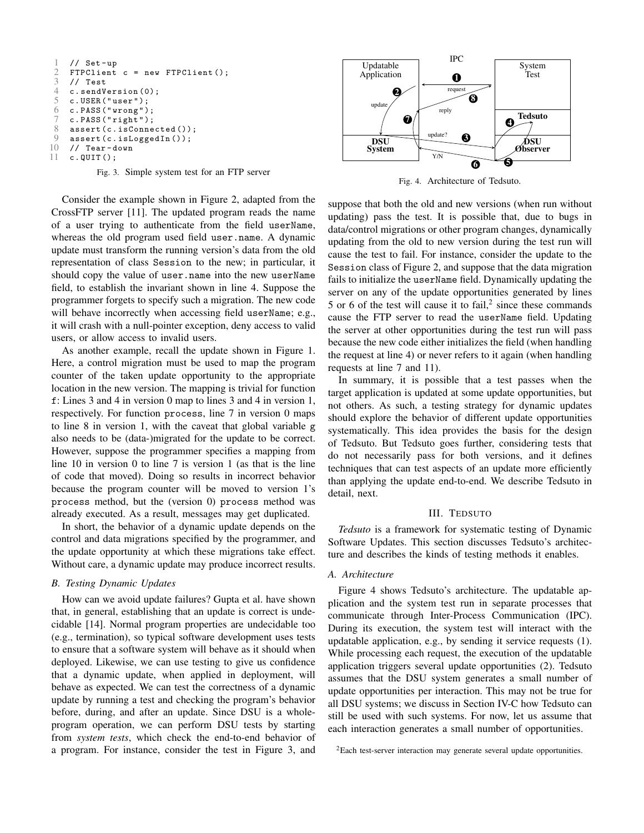```
1 // Set-up<br>2 FTPClient
 2 FTPClient c = new FTPClient();<br>3 // Test
 3 // Test
 4 c. sendVersion (0);<br>5 c. USER ("user"):
       c. USER ("user");
 6 c. PASS ("wrong");<br>
7 c. PASS ("right"):
 \frac{7}{8} c. PASS ("right");
 8 assert (c. isConnected ());<br>0 assert (c. islamadIn ());
9 assert (c. isLoggedIn ());<br>10 // Tear-down
\begin{array}{cc} 10 & // \text{Tear-down} \\ 11 & c. \text{OUTT()}: \end{array}c. QUIT();
```
Fig. 3. Simple system test for an FTP server

Consider the example shown in Figure 2, adapted from the CrossFTP server [11]. The updated program reads the name of a user trying to authenticate from the field userName, whereas the old program used field user.name. A dynamic update must transform the running version's data from the old representation of class Session to the new; in particular, it should copy the value of user.name into the new userName field, to establish the invariant shown in line 4. Suppose the programmer forgets to specify such a migration. The new code will behave incorrectly when accessing field userName; e.g., it will crash with a null-pointer exception, deny access to valid users, or allow access to invalid users.

As another example, recall the update shown in Figure 1. Here, a control migration must be used to map the program counter of the taken update opportunity to the appropriate location in the new version. The mapping is trivial for function f: Lines 3 and 4 in version 0 map to lines 3 and 4 in version 1, respectively. For function process, line 7 in version 0 maps to line 8 in version 1, with the caveat that global variable g also needs to be (data-)migrated for the update to be correct. However, suppose the programmer specifies a mapping from line 10 in version 0 to line 7 is version 1 (as that is the line of code that moved). Doing so results in incorrect behavior because the program counter will be moved to version 1's process method, but the (version 0) process method was already executed. As a result, messages may get duplicated.

In short, the behavior of a dynamic update depends on the control and data migrations specified by the programmer, and the update opportunity at which these migrations take effect. Without care, a dynamic update may produce incorrect results.

# *B. Testing Dynamic Updates*

How can we avoid update failures? Gupta et al. have shown that, in general, establishing that an update is correct is undecidable [14]. Normal program properties are undecidable too (e.g., termination), so typical software development uses tests to ensure that a software system will behave as it should when deployed. Likewise, we can use testing to give us confidence that a dynamic update, when applied in deployment, will behave as expected. We can test the correctness of a dynamic update by running a test and checking the program's behavior before, during, and after an update. Since DSU is a wholeprogram operation, we can perform DSU tests by starting from *system tests*, which check the end-to-end behavior of a program. For instance, consider the test in Figure 3, and



Fig. 4. Architecture of Tedsuto.

suppose that both the old and new versions (when run without updating) pass the test. It is possible that, due to bugs in data/control migrations or other program changes, dynamically updating from the old to new version during the test run will cause the test to fail. For instance, consider the update to the Session class of Figure 2, and suppose that the data migration fails to initialize the userName field. Dynamically updating the server on any of the update opportunities generated by lines  $5$  or 6 of the test will cause it to fail,<sup>2</sup> since these commands cause the FTP server to read the userName field. Updating the server at other opportunities during the test run will pass because the new code either initializes the field (when handling the request at line 4) or never refers to it again (when handling requests at line 7 and 11).

In summary, it is possible that a test passes when the target application is updated at some update opportunities, but not others. As such, a testing strategy for dynamic updates should explore the behavior of different update opportunities systematically. This idea provides the basis for the design of Tedsuto. But Tedsuto goes further, considering tests that do not necessarily pass for both versions, and it defines techniques that can test aspects of an update more efficiently than applying the update end-to-end. We describe Tedsuto in detail, next.

## III. TEDSUTO

*Tedsuto* is a framework for systematic testing of Dynamic Software Updates. This section discusses Tedsuto's architecture and describes the kinds of testing methods it enables.

## *A. Architecture*

Figure 4 shows Tedsuto's architecture. The updatable application and the system test run in separate processes that communicate through Inter-Process Communication (IPC). During its execution, the system test will interact with the updatable application, e.g., by sending it service requests (1). While processing each request, the execution of the updatable application triggers several update opportunities (2). Tedsuto assumes that the DSU system generates a small number of update opportunities per interaction. This may not be true for all DSU systems; we discuss in Section IV-C how Tedsuto can still be used with such systems. For now, let us assume that each interaction generates a small number of opportunities.

<sup>2</sup>Each test-server interaction may generate several update opportunities.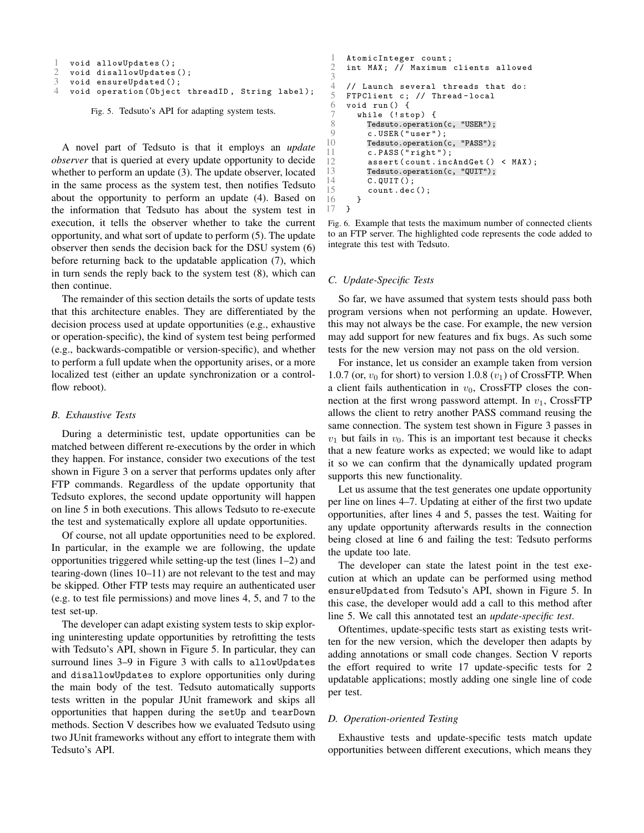```
1 void allowUpdates ();
2 void disallowUpdates();<br>3 void ensureUpdated();
3 void ensureUpdated();<br>4 void operation(Obiect
   void operation (Object threadID, String label);
```
Fig. 5. Tedsuto's API for adapting system tests.

A novel part of Tedsuto is that it employs an *update observer* that is queried at every update opportunity to decide whether to perform an update (3). The update observer, located in the same process as the system test, then notifies Tedsuto about the opportunity to perform an update (4). Based on the information that Tedsuto has about the system test in execution, it tells the observer whether to take the current opportunity, and what sort of update to perform (5). The update observer then sends the decision back for the DSU system (6) before returning back to the updatable application (7), which in turn sends the reply back to the system test (8), which can then continue.

The remainder of this section details the sorts of update tests that this architecture enables. They are differentiated by the decision process used at update opportunities (e.g., exhaustive or operation-specific), the kind of system test being performed (e.g., backwards-compatible or version-specific), and whether to perform a full update when the opportunity arises, or a more localized test (either an update synchronization or a controlflow reboot).

# *B. Exhaustive Tests*

During a deterministic test, update opportunities can be matched between different re-executions by the order in which they happen. For instance, consider two executions of the test shown in Figure 3 on a server that performs updates only after FTP commands. Regardless of the update opportunity that Tedsuto explores, the second update opportunity will happen on line 5 in both executions. This allows Tedsuto to re-execute the test and systematically explore all update opportunities.

Of course, not all update opportunities need to be explored. In particular, in the example we are following, the update opportunities triggered while setting-up the test (lines 1–2) and tearing-down (lines 10–11) are not relevant to the test and may be skipped. Other FTP tests may require an authenticated user (e.g. to test file permissions) and move lines 4, 5, and 7 to the test set-up.

The developer can adapt existing system tests to skip exploring uninteresting update opportunities by retrofitting the tests with Tedsuto's API, shown in Figure 5. In particular, they can surround lines 3–9 in Figure 3 with calls to allowUpdates and disallowUpdates to explore opportunities only during the main body of the test. Tedsuto automatically supports tests written in the popular JUnit framework and skips all opportunities that happen during the setUp and tearDown methods. Section V describes how we evaluated Tedsuto using two JUnit frameworks without any effort to integrate them with Tedsuto's API.

```
1 AtomicInteger count;<br>2 int MAX: // Maximum
      int MAX; // Maximum clients allowed
 \frac{3}{4}\frac{4}{5} // Launch several threads that do:<br>5 FTPClient c: // Thread-local
      5 FTPClient c; // Thread - local
 6 void run() {<br>7 while (!st
         while (!stop) {
 8 Tedsuto.operation(c, "USER");<br>9 c.USER("user");
9 c. USER ("user");<br>10 Tedsuto.operation (
            Tedsuto.operation(c, "PASS");
11 c. PASS ("right");<br>12 assert (count.inc
12 assert ( count . incAndGet () < MAX );<br>13 Tedsuto.operation(c, "QUIT");
13 Tedsuto.operation(c, "QUIT");<br>14 C.QUIT();
14 C.QUIT();<br>15 count.dec
         count.dec();<br>}
\frac{16}{17} }
17 }
```
Fig. 6. Example that tests the maximum number of connected clients to an FTP server. The highlighted code represents the code added to integrate this test with Tedsuto.

## *C. Update-Specific Tests*

So far, we have assumed that system tests should pass both program versions when not performing an update. However, this may not always be the case. For example, the new version may add support for new features and fix bugs. As such some tests for the new version may not pass on the old version.

For instance, let us consider an example taken from version 1.0.7 (or,  $v_0$  for short) to version 1.0.8 ( $v_1$ ) of CrossFTP. When a client fails authentication in  $v_0$ , CrossFTP closes the connection at the first wrong password attempt. In  $v_1$ , CrossFTP allows the client to retry another PASS command reusing the same connection. The system test shown in Figure 3 passes in  $v_1$  but fails in  $v_0$ . This is an important test because it checks that a new feature works as expected; we would like to adapt it so we can confirm that the dynamically updated program supports this new functionality.

Let us assume that the test generates one update opportunity per line on lines 4–7. Updating at either of the first two update opportunities, after lines 4 and 5, passes the test. Waiting for any update opportunity afterwards results in the connection being closed at line 6 and failing the test: Tedsuto performs the update too late.

The developer can state the latest point in the test execution at which an update can be performed using method ensureUpdated from Tedsuto's API, shown in Figure 5. In this case, the developer would add a call to this method after line 5. We call this annotated test an *update-specific test*.

Oftentimes, update-specific tests start as existing tests written for the new version, which the developer then adapts by adding annotations or small code changes. Section V reports the effort required to write 17 update-specific tests for 2 updatable applications; mostly adding one single line of code per test.

## *D. Operation-oriented Testing*

Exhaustive tests and update-specific tests match update opportunities between different executions, which means they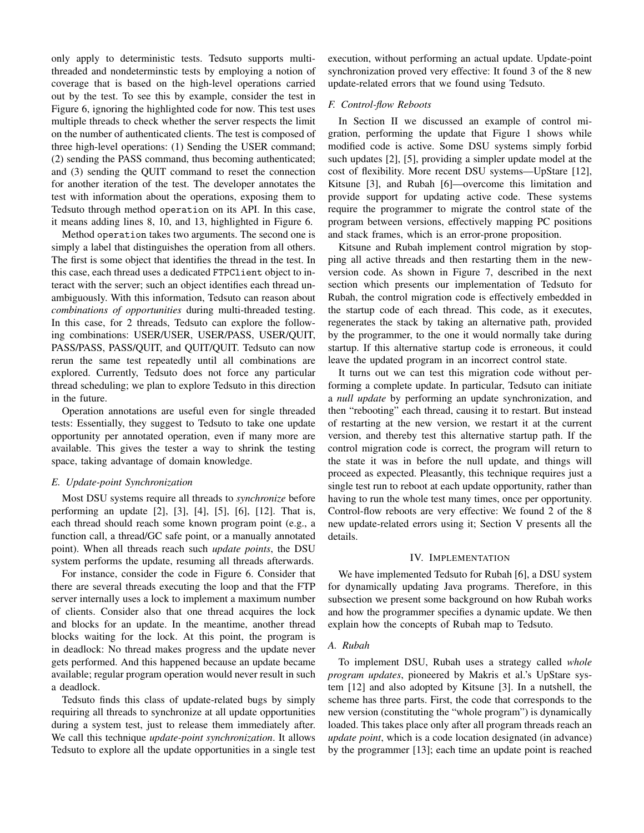only apply to deterministic tests. Tedsuto supports multithreaded and nondeterminstic tests by employing a notion of coverage that is based on the high-level operations carried out by the test. To see this by example, consider the test in Figure 6, ignoring the highlighted code for now. This test uses multiple threads to check whether the server respects the limit on the number of authenticated clients. The test is composed of three high-level operations: (1) Sending the USER command; (2) sending the PASS command, thus becoming authenticated; and (3) sending the QUIT command to reset the connection for another iteration of the test. The developer annotates the test with information about the operations, exposing them to Tedsuto through method operation on its API. In this case, it means adding lines 8, 10, and 13, highlighted in Figure 6.

Method operation takes two arguments. The second one is simply a label that distinguishes the operation from all others. The first is some object that identifies the thread in the test. In this case, each thread uses a dedicated FTPClient object to interact with the server; such an object identifies each thread unambiguously. With this information, Tedsuto can reason about *combinations of opportunities* during multi-threaded testing. In this case, for 2 threads, Tedsuto can explore the following combinations: USER/USER, USER/PASS, USER/QUIT, PASS/PASS, PASS/QUIT, and QUIT/QUIT. Tedsuto can now rerun the same test repeatedly until all combinations are explored. Currently, Tedsuto does not force any particular thread scheduling; we plan to explore Tedsuto in this direction in the future.

Operation annotations are useful even for single threaded tests: Essentially, they suggest to Tedsuto to take one update opportunity per annotated operation, even if many more are available. This gives the tester a way to shrink the testing space, taking advantage of domain knowledge.

# *E. Update-point Synchronization*

Most DSU systems require all threads to *synchronize* before performing an update [2], [3], [4], [5], [6], [12]. That is, each thread should reach some known program point (e.g., a function call, a thread/GC safe point, or a manually annotated point). When all threads reach such *update points*, the DSU system performs the update, resuming all threads afterwards.

For instance, consider the code in Figure 6. Consider that there are several threads executing the loop and that the FTP server internally uses a lock to implement a maximum number of clients. Consider also that one thread acquires the lock and blocks for an update. In the meantime, another thread blocks waiting for the lock. At this point, the program is in deadlock: No thread makes progress and the update never gets performed. And this happened because an update became available; regular program operation would never result in such a deadlock.

Tedsuto finds this class of update-related bugs by simply requiring all threads to synchronize at all update opportunities during a system test, just to release them immediately after. We call this technique *update-point synchronization*. It allows Tedsuto to explore all the update opportunities in a single test execution, without performing an actual update. Update-point synchronization proved very effective: It found 3 of the 8 new update-related errors that we found using Tedsuto.

# *F. Control-flow Reboots*

In Section II we discussed an example of control migration, performing the update that Figure 1 shows while modified code is active. Some DSU systems simply forbid such updates [2], [5], providing a simpler update model at the cost of flexibility. More recent DSU systems—UpStare [12], Kitsune [3], and Rubah [6]—overcome this limitation and provide support for updating active code. These systems require the programmer to migrate the control state of the program between versions, effectively mapping PC positions and stack frames, which is an error-prone proposition.

Kitsune and Rubah implement control migration by stopping all active threads and then restarting them in the newversion code. As shown in Figure 7, described in the next section which presents our implementation of Tedsuto for Rubah, the control migration code is effectively embedded in the startup code of each thread. This code, as it executes, regenerates the stack by taking an alternative path, provided by the programmer, to the one it would normally take during startup. If this alternative startup code is erroneous, it could leave the updated program in an incorrect control state.

It turns out we can test this migration code without performing a complete update. In particular, Tedsuto can initiate a *null update* by performing an update synchronization, and then "rebooting" each thread, causing it to restart. But instead of restarting at the new version, we restart it at the current version, and thereby test this alternative startup path. If the control migration code is correct, the program will return to the state it was in before the null update, and things will proceed as expected. Pleasantly, this technique requires just a single test run to reboot at each update opportunity, rather than having to run the whole test many times, once per opportunity. Control-flow reboots are very effective: We found 2 of the 8 new update-related errors using it; Section V presents all the details.

## IV. IMPLEMENTATION

We have implemented Tedsuto for Rubah [6], a DSU system for dynamically updating Java programs. Therefore, in this subsection we present some background on how Rubah works and how the programmer specifies a dynamic update. We then explain how the concepts of Rubah map to Tedsuto.

## *A. Rubah*

To implement DSU, Rubah uses a strategy called *whole program updates*, pioneered by Makris et al.'s UpStare system [12] and also adopted by Kitsune [3]. In a nutshell, the scheme has three parts. First, the code that corresponds to the new version (constituting the "whole program") is dynamically loaded. This takes place only after all program threads reach an *update point*, which is a code location designated (in advance) by the programmer [13]; each time an update point is reached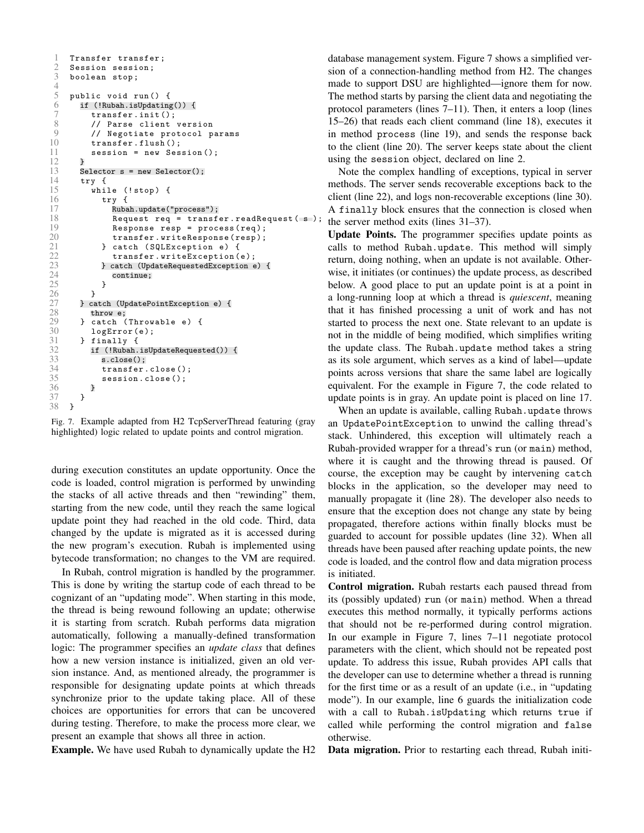```
1 Transfer transfer;<br>2 Session session:
 2 Session session;<br>3 boolean stop:
      boolean stop;
 \frac{4}{5}5 public void run () {<br>6 if (!Rubah.isUpdating
 6 if (!Rubah.isUpdating()) {<br>7 transfer.init();
              transfer.init();
 8 // Parse client version<br>9 // Negotiate protocol p
9 // Negotiate protocol params<br>10 transfer.flush();
              transfer.flush();
11 session = new Session ();
\begin{array}{ccc} 12 & & \text{B} \\ 13 & & \text{S} \end{array}13 Selector s = new Selector();<br>14 try {
14 try {<br>15 whil
\begin{array}{cc} 15 & \text{while } (\text{!stop}) \\ 16 & \text{try } \{ \end{array}16 try {<br>17 Ruba
17 Rubah.update("process");<br>18 Request req = transf
18 Request req = transfer.readRequest (s);<br>19 Response resp = process(req);
19 Response resp = process(req);<br>20 transfer.writeResponse(resp):
20 transfer . writeResponse ( resp );
21 } catch ( SQLException e) {<br>22 transfer.writeException (
22 transfer.writeException (e);<br>23 b catch (UpdateRequestedException of<br>24 continue;
                 23 } catch (UpdateRequestedException e) {
                     continue:
\begin{array}{ccc} 25 & & & 3 \\ 26 & & & 3 \end{array}\frac{26}{27}27 } catch (UpdatePointException e) {<br>28 throw e;
28 throw e;<br>29 } catch (
29 } catch (Throwable e) {<br>30 <br>logError(e):
30 logError (e);<br>31 } finally {
31 } finally {<br>32 if (!Rubah.
32 if (!Rubah.isUpdateRequested()) {<br>33 s.close();
33 s.close();
34 transfer.close();<br>35 session.close();
                 session.close();
\begin{array}{ccc} 36 & & \text{F} \\ 37 & & \text{F} \end{array}\frac{37}{38} }
38 }
```
Fig. 7. Example adapted from H2 TcpServerThread featuring (gray highlighted) logic related to update points and control migration.

during execution constitutes an update opportunity. Once the code is loaded, control migration is performed by unwinding the stacks of all active threads and then "rewinding" them, starting from the new code, until they reach the same logical update point they had reached in the old code. Third, data changed by the update is migrated as it is accessed during the new program's execution. Rubah is implemented using bytecode transformation; no changes to the VM are required.

In Rubah, control migration is handled by the programmer. This is done by writing the startup code of each thread to be cognizant of an "updating mode". When starting in this mode, the thread is being rewound following an update; otherwise it is starting from scratch. Rubah performs data migration automatically, following a manually-defined transformation logic: The programmer specifies an *update class* that defines how a new version instance is initialized, given an old version instance. And, as mentioned already, the programmer is responsible for designating update points at which threads synchronize prior to the update taking place. All of these choices are opportunities for errors that can be uncovered during testing. Therefore, to make the process more clear, we present an example that shows all three in action.

Example. We have used Rubah to dynamically update the H2

database management system. Figure 7 shows a simplified version of a connection-handling method from H2. The changes made to support DSU are highlighted—ignore them for now. The method starts by parsing the client data and negotiating the protocol parameters (lines 7–11). Then, it enters a loop (lines 15–26) that reads each client command (line 18), executes it in method process (line 19), and sends the response back to the client (line 20). The server keeps state about the client using the session object, declared on line 2.

Note the complex handling of exceptions, typical in server methods. The server sends recoverable exceptions back to the client (line 22), and logs non-recoverable exceptions (line 30). A finally block ensures that the connection is closed when the server method exits (lines 31–37).

Update Points. The programmer specifies update points as calls to method Rubah.update. This method will simply return, doing nothing, when an update is not available. Otherwise, it initiates (or continues) the update process, as described below. A good place to put an update point is at a point in a long-running loop at which a thread is *quiescent*, meaning that it has finished processing a unit of work and has not started to process the next one. State relevant to an update is not in the middle of being modified, which simplifies writing the update class. The Rubah.update method takes a string as its sole argument, which serves as a kind of label—update points across versions that share the same label are logically equivalent. For the example in Figure 7, the code related to update points is in gray. An update point is placed on line 17.

When an update is available, calling Rubah.update throws an UpdatePointException to unwind the calling thread's stack. Unhindered, this exception will ultimately reach a Rubah-provided wrapper for a thread's run (or main) method, where it is caught and the throwing thread is paused. Of course, the exception may be caught by intervening catch blocks in the application, so the developer may need to manually propagate it (line 28). The developer also needs to ensure that the exception does not change any state by being propagated, therefore actions within finally blocks must be guarded to account for possible updates (line 32). When all threads have been paused after reaching update points, the new code is loaded, and the control flow and data migration process is initiated.

Control migration. Rubah restarts each paused thread from its (possibly updated) run (or main) method. When a thread executes this method normally, it typically performs actions that should not be re-performed during control migration. In our example in Figure 7, lines 7–11 negotiate protocol parameters with the client, which should not be repeated post update. To address this issue, Rubah provides API calls that the developer can use to determine whether a thread is running for the first time or as a result of an update (i.e., in "updating mode"). In our example, line 6 guards the initialization code with a call to Rubah.isUpdating which returns true if called while performing the control migration and false otherwise.

Data migration. Prior to restarting each thread, Rubah initi-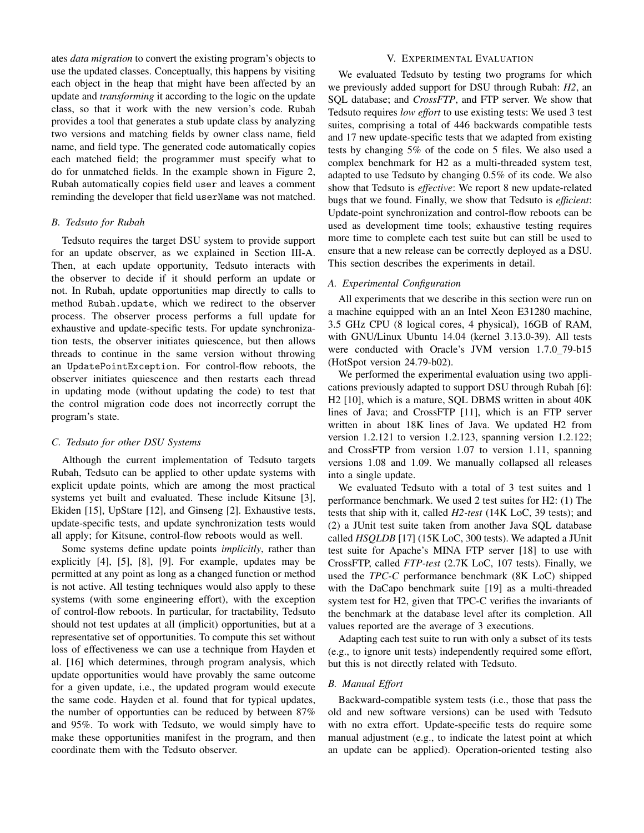ates *data migration* to convert the existing program's objects to use the updated classes. Conceptually, this happens by visiting each object in the heap that might have been affected by an update and *transforming* it according to the logic on the update class, so that it work with the new version's code. Rubah provides a tool that generates a stub update class by analyzing two versions and matching fields by owner class name, field name, and field type. The generated code automatically copies each matched field; the programmer must specify what to do for unmatched fields. In the example shown in Figure 2, Rubah automatically copies field user and leaves a comment reminding the developer that field userName was not matched.

## *B. Tedsuto for Rubah*

Tedsuto requires the target DSU system to provide support for an update observer, as we explained in Section III-A. Then, at each update opportunity, Tedsuto interacts with the observer to decide if it should perform an update or not. In Rubah, update opportunities map directly to calls to method Rubah.update, which we redirect to the observer process. The observer process performs a full update for exhaustive and update-specific tests. For update synchronization tests, the observer initiates quiescence, but then allows threads to continue in the same version without throwing an UpdatePointException. For control-flow reboots, the observer initiates quiescence and then restarts each thread in updating mode (without updating the code) to test that the control migration code does not incorrectly corrupt the program's state.

# *C. Tedsuto for other DSU Systems*

Although the current implementation of Tedsuto targets Rubah, Tedsuto can be applied to other update systems with explicit update points, which are among the most practical systems yet built and evaluated. These include Kitsune [3], Ekiden [15], UpStare [12], and Ginseng [2]. Exhaustive tests, update-specific tests, and update synchronization tests would all apply; for Kitsune, control-flow reboots would as well.

Some systems define update points *implicitly*, rather than explicitly [4], [5], [8], [9]. For example, updates may be permitted at any point as long as a changed function or method is not active. All testing techniques would also apply to these systems (with some engineering effort), with the exception of control-flow reboots. In particular, for tractability, Tedsuto should not test updates at all (implicit) opportunities, but at a representative set of opportunities. To compute this set without loss of effectiveness we can use a technique from Hayden et al. [16] which determines, through program analysis, which update opportunities would have provably the same outcome for a given update, i.e., the updated program would execute the same code. Hayden et al. found that for typical updates, the number of opportunties can be reduced by between 87% and 95%. To work with Tedsuto, we would simply have to make these opportunities manifest in the program, and then coordinate them with the Tedsuto observer.

# V. EXPERIMENTAL EVALUATION

We evaluated Tedsuto by testing two programs for which we previously added support for DSU through Rubah: *H2*, an SQL database; and *CrossFTP*, and FTP server. We show that Tedsuto requires *low effort* to use existing tests: We used 3 test suites, comprising a total of 446 backwards compatible tests and 17 new update-specific tests that we adapted from existing tests by changing 5% of the code on 5 files. We also used a complex benchmark for H2 as a multi-threaded system test, adapted to use Tedsuto by changing 0.5% of its code. We also show that Tedsuto is *effective*: We report 8 new update-related bugs that we found. Finally, we show that Tedsuto is *efficient*: Update-point synchronization and control-flow reboots can be used as development time tools; exhaustive testing requires more time to complete each test suite but can still be used to ensure that a new release can be correctly deployed as a DSU. This section describes the experiments in detail.

# *A. Experimental Configuration*

All experiments that we describe in this section were run on a machine equipped with an an Intel Xeon E31280 machine, 3.5 GHz CPU (8 logical cores, 4 physical), 16GB of RAM, with GNU/Linux Ubuntu 14.04 (kernel 3.13.0-39). All tests were conducted with Oracle's JVM version 1.7.0 79-b15 (HotSpot version 24.79-b02).

We performed the experimental evaluation using two applications previously adapted to support DSU through Rubah [6]: H2 [10], which is a mature, SQL DBMS written in about 40K lines of Java; and CrossFTP [11], which is an FTP server written in about 18K lines of Java. We updated H2 from version 1.2.121 to version 1.2.123, spanning version 1.2.122; and CrossFTP from version 1.07 to version 1.11, spanning versions 1.08 and 1.09. We manually collapsed all releases into a single update.

We evaluated Tedsuto with a total of 3 test suites and 1 performance benchmark. We used 2 test suites for H2: (1) The tests that ship with it, called *H2-test* (14K LoC, 39 tests); and (2) a JUnit test suite taken from another Java SQL database called *HSQLDB* [17] (15K LoC, 300 tests). We adapted a JUnit test suite for Apache's MINA FTP server [18] to use with CrossFTP, called *FTP-test* (2.7K LoC, 107 tests). Finally, we used the *TPC-C* performance benchmark (8K LoC) shipped with the DaCapo benchmark suite [19] as a multi-threaded system test for H2, given that TPC-C verifies the invariants of the benchmark at the database level after its completion. All values reported are the average of 3 executions.

Adapting each test suite to run with only a subset of its tests (e.g., to ignore unit tests) independently required some effort, but this is not directly related with Tedsuto.

# *B. Manual Effort*

Backward-compatible system tests (i.e., those that pass the old and new software versions) can be used with Tedsuto with no extra effort. Update-specific tests do require some manual adjustment (e.g., to indicate the latest point at which an update can be applied). Operation-oriented testing also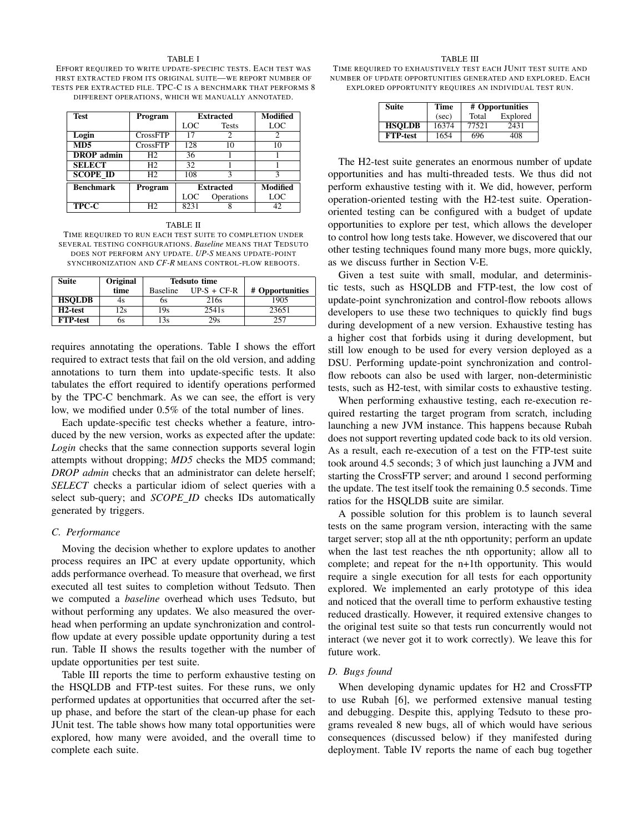#### TABLE I

EFFORT REQUIRED TO WRITE UPDATE-SPECIFIC TESTS. EACH TEST WAS FIRST EXTRACTED FROM ITS ORIGINAL SUITE—WE REPORT NUMBER OF TESTS PER EXTRACTED FILE. TPC-C IS A BENCHMARK THAT PERFORMS 8 DIFFERENT OPERATIONS, WHICH WE MANUALLY ANNOTATED.

| <b>Test</b>       | Program         | <b>Extracted</b> |              | <b>Modified</b> |
|-------------------|-----------------|------------------|--------------|-----------------|
|                   |                 | LOC              | <b>Tests</b> | LOC             |
| Login             | <b>CrossFTP</b> | 17               | 2            | $\mathfrak{D}$  |
| MD5               | <b>CrossFTP</b> | 128              | 10           | 10              |
| <b>DROP</b> admin | H <sub>2</sub>  | 36               |              |                 |
| <b>SELECT</b>     | H <sub>2</sub>  | 32               |              |                 |
| <b>SCOPE ID</b>   | H <sub>2</sub>  | 108              | ٩            | 2               |
| <b>Benchmark</b>  | Program         | <b>Extracted</b> |              | <b>Modified</b> |
|                   |                 | LOC              | Operations   | LOC             |
| <b>TPC-C</b>      | H2              | 8231             |              | 42              |

TABLE II TIME REQUIRED TO RUN EACH TEST SUITE TO COMPLETION UNDER SEVERAL TESTING CONFIGURATIONS. *Baseline* MEANS THAT TEDSUTO DOES NOT PERFORM ANY UPDATE. *UP-S* MEANS UPDATE-POINT SYNCHRONIZATION AND *CF-R* MEANS CONTROL-FLOW REBOOTS.

| <b>Suite</b>         | Original |          | <b>Tedsuto time</b> |                 |
|----------------------|----------|----------|---------------------|-----------------|
|                      | time     | Baseline | $UP-S + CF-R$       | # Opportunities |
| <b>HSOLDB</b>        | 4s       | 6s       | 216s                | 1905            |
| H <sub>2</sub> -test | 12s      | 19s      | 2541 <sub>s</sub>   | 23651           |
| <b>FTP-test</b>      | 6s       | 13s      | 29s                 | 257             |

requires annotating the operations. Table I shows the effort required to extract tests that fail on the old version, and adding annotations to turn them into update-specific tests. It also tabulates the effort required to identify operations performed by the TPC-C benchmark. As we can see, the effort is very low, we modified under 0.5% of the total number of lines.

Each update-specific test checks whether a feature, introduced by the new version, works as expected after the update: *Login* checks that the same connection supports several login attempts without dropping; *MD5* checks the MD5 command; *DROP admin* checks that an administrator can delete herself; *SELECT* checks a particular idiom of select queries with a select sub-query; and *SCOPE\_ID* checks IDs automatically generated by triggers.

## *C. Performance*

Moving the decision whether to explore updates to another process requires an IPC at every update opportunity, which adds performance overhead. To measure that overhead, we first executed all test suites to completion without Tedsuto. Then we computed a *baseline* overhead which uses Tedsuto, but without performing any updates. We also measured the overhead when performing an update synchronization and controlflow update at every possible update opportunity during a test run. Table II shows the results together with the number of update opportunities per test suite.

Table III reports the time to perform exhaustive testing on the HSQLDB and FTP-test suites. For these runs, we only performed updates at opportunities that occurred after the setup phase, and before the start of the clean-up phase for each JUnit test. The table shows how many total opportunities were explored, how many were avoided, and the overall time to complete each suite.

#### TABLE III

TIME REQUIRED TO EXHAUSTIVELY TEST EACH JUNIT TEST SUITE AND NUMBER OF UPDATE OPPORTUNITIES GENERATED AND EXPLORED. EACH EXPLORED OPPORTUNITY REQUIRES AN INDIVIDUAL TEST RUN.

| <b>Suite</b>    | Time  | # Opportunities |          |  |
|-----------------|-------|-----------------|----------|--|
|                 | (sec) | Total           | Explored |  |
| <b>HSOLDB</b>   | 16374 | 77521           | 2431     |  |
| <b>FTP-test</b> | 1654  | 696             | 408      |  |

The H2-test suite generates an enormous number of update opportunities and has multi-threaded tests. We thus did not perform exhaustive testing with it. We did, however, perform operation-oriented testing with the H2-test suite. Operationoriented testing can be configured with a budget of update opportunities to explore per test, which allows the developer to control how long tests take. However, we discovered that our other testing techniques found many more bugs, more quickly, as we discuss further in Section V-E.

Given a test suite with small, modular, and deterministic tests, such as HSQLDB and FTP-test, the low cost of update-point synchronization and control-flow reboots allows developers to use these two techniques to quickly find bugs during development of a new version. Exhaustive testing has a higher cost that forbids using it during development, but still low enough to be used for every version deployed as a DSU. Performing update-point synchronization and controlflow reboots can also be used with larger, non-deterministic tests, such as H2-test, with similar costs to exhaustive testing.

When performing exhaustive testing, each re-execution required restarting the target program from scratch, including launching a new JVM instance. This happens because Rubah does not support reverting updated code back to its old version. As a result, each re-execution of a test on the FTP-test suite took around 4.5 seconds; 3 of which just launching a JVM and starting the CrossFTP server; and around 1 second performing the update. The test itself took the remaining 0.5 seconds. Time ratios for the HSQLDB suite are similar.

A possible solution for this problem is to launch several tests on the same program version, interacting with the same target server; stop all at the nth opportunity; perform an update when the last test reaches the nth opportunity; allow all to complete; and repeat for the n+1th opportunity. This would require a single execution for all tests for each opportunity explored. We implemented an early prototype of this idea and noticed that the overall time to perform exhaustive testing reduced drastically. However, it required extensive changes to the original test suite so that tests run concurrently would not interact (we never got it to work correctly). We leave this for future work.

## *D. Bugs found*

When developing dynamic updates for H2 and CrossFTP to use Rubah [6], we performed extensive manual testing and debugging. Despite this, applying Tedsuto to these programs revealed 8 new bugs, all of which would have serious consequences (discussed below) if they manifested during deployment. Table IV reports the name of each bug together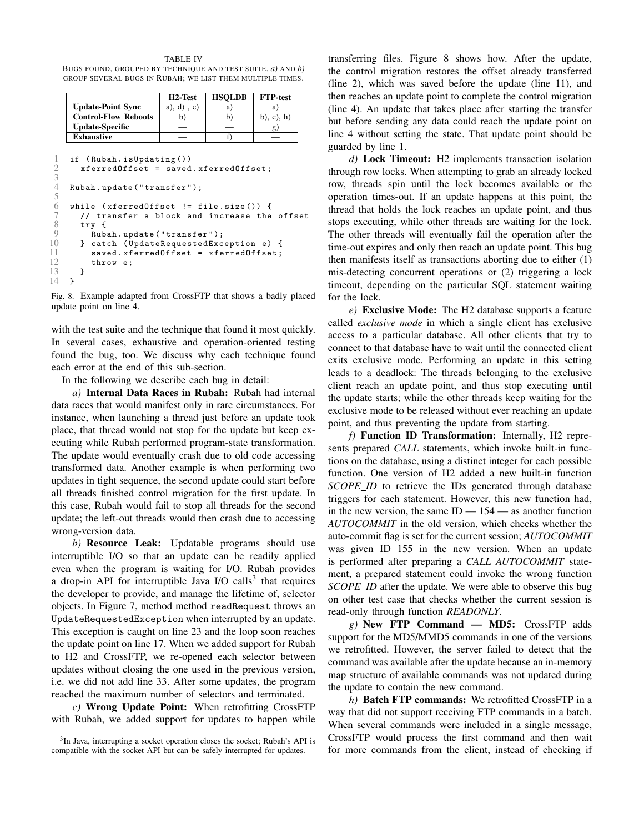|                             | H <sub>2</sub> -Test | <b>HSOLDB</b> | <b>FTP-test</b> |
|-----------------------------|----------------------|---------------|-----------------|
| <b>Update-Point Sync</b>    | a), $d$ ), $e$ )     | a l           |                 |
| <b>Control-Flow Reboots</b> |                      | b1            | $(b)$ , c), h)  |
| <b>Update-Specific</b>      |                      |               |                 |
| <b>Exhaustive</b>           |                      |               |                 |

TABLE IV BUGS FOUND, GROUPED BY TECHNIQUE AND TEST SUITE. *a)* AND *b)* GROUP SEVERAL BUGS IN RUBAH; WE LIST THEM MULTIPLE TIMES.

```
1 if ( Rubah . isUpdating ())
 2 xferredOffset = saved.xferredOffset;
 3
      Rubah. update ("transfer");
 5
 6 while (xferredOffset != file.size()) {<br>7 // transfer a block and increase the
 7 // transfer a block and increase the offset 8 try f
 \begin{array}{cc} 8 & \text{try } \{ \\ 9 & \text{ Rub} \end{array}9 Rubah . update (" transfer " );
10 } catch (UpdateRequestedException e) {<br>11 saved.xferredOffset = xferredOffset:
             saved.xferredOffset = xferredOffset;
\begin{array}{ccc} 12 & \text{throw } \text{e}; \\ 13 & \text{} \end{array}\begin{matrix} 13 \\ 14 \end{matrix}14
```
Fig. 8. Example adapted from CrossFTP that shows a badly placed update point on line 4.

with the test suite and the technique that found it most quickly. In several cases, exhaustive and operation-oriented testing found the bug, too. We discuss why each technique found each error at the end of this sub-section.

In the following we describe each bug in detail:

*a)* Internal Data Races in Rubah: Rubah had internal data races that would manifest only in rare circumstances. For instance, when launching a thread just before an update took place, that thread would not stop for the update but keep executing while Rubah performed program-state transformation. The update would eventually crash due to old code accessing transformed data. Another example is when performing two updates in tight sequence, the second update could start before all threads finished control migration for the first update. In this case, Rubah would fail to stop all threads for the second update; the left-out threads would then crash due to accessing wrong-version data.

*b)* Resource Leak: Updatable programs should use interruptible I/O so that an update can be readily applied even when the program is waiting for I/O. Rubah provides a drop-in API for interruptible Java I/O calls<sup>3</sup> that requires the developer to provide, and manage the lifetime of, selector objects. In Figure 7, method method readRequest throws an UpdateRequestedException when interrupted by an update. This exception is caught on line 23 and the loop soon reaches the update point on line 17. When we added support for Rubah to H2 and CrossFTP, we re-opened each selector between updates without closing the one used in the previous version, i.e. we did not add line 33. After some updates, the program reached the maximum number of selectors and terminated.

*c)* Wrong Update Point: When retrofitting CrossFTP with Rubah, we added support for updates to happen while transferring files. Figure 8 shows how. After the update, the control migration restores the offset already transferred (line 2), which was saved before the update (line 11), and then reaches an update point to complete the control migration (line 4). An update that takes place after starting the transfer but before sending any data could reach the update point on line 4 without setting the state. That update point should be guarded by line 1.

*d)* Lock Timeout: H2 implements transaction isolation through row locks. When attempting to grab an already locked row, threads spin until the lock becomes available or the operation times-out. If an update happens at this point, the thread that holds the lock reaches an update point, and thus stops executing, while other threads are waiting for the lock. The other threads will eventually fail the operation after the time-out expires and only then reach an update point. This bug then manifests itself as transactions aborting due to either (1) mis-detecting concurrent operations or (2) triggering a lock timeout, depending on the particular SQL statement waiting for the lock.

*e)* Exclusive Mode: The H2 database supports a feature called *exclusive mode* in which a single client has exclusive access to a particular database. All other clients that try to connect to that database have to wait until the connected client exits exclusive mode. Performing an update in this setting leads to a deadlock: The threads belonging to the exclusive client reach an update point, and thus stop executing until the update starts; while the other threads keep waiting for the exclusive mode to be released without ever reaching an update point, and thus preventing the update from starting.

*f)* Function ID Transformation: Internally, H2 represents prepared *CALL* statements, which invoke built-in functions on the database, using a distinct integer for each possible function. One version of H2 added a new built-in function *SCOPE\_ID* to retrieve the IDs generated through database triggers for each statement. However, this new function had, in the new version, the same  $ID - 154$  — as another function *AUTOCOMMIT* in the old version, which checks whether the auto-commit flag is set for the current session; *AUTOCOMMIT* was given ID 155 in the new version. When an update is performed after preparing a *CALL AUTOCOMMIT* statement, a prepared statement could invoke the wrong function *SCOPE ID* after the update. We were able to observe this bug on other test case that checks whether the current session is read-only through function *READONLY*.

*g)* New FTP Command — MD5: CrossFTP adds support for the MD5/MMD5 commands in one of the versions we retrofitted. However, the server failed to detect that the command was available after the update because an in-memory map structure of available commands was not updated during the update to contain the new command.

*h)* Batch FTP commands: We retrofitted CrossFTP in a way that did not support receiving FTP commands in a batch. When several commands were included in a single message, CrossFTP would process the first command and then wait for more commands from the client, instead of checking if

<sup>&</sup>lt;sup>3</sup>In Java, interrupting a socket operation closes the socket; Rubah's API is compatible with the socket API but can be safely interrupted for updates.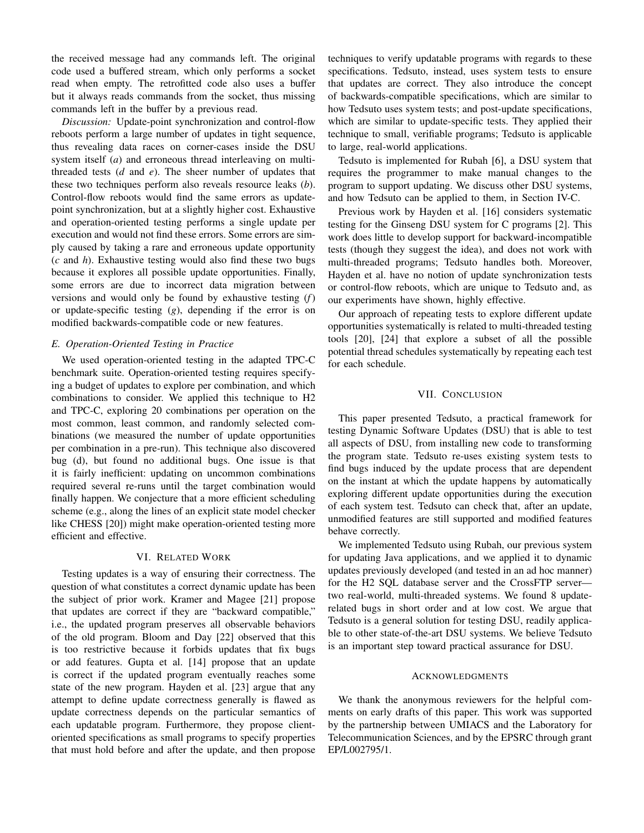the received message had any commands left. The original code used a buffered stream, which only performs a socket read when empty. The retrofitted code also uses a buffer but it always reads commands from the socket, thus missing commands left in the buffer by a previous read.

*Discussion:* Update-point synchronization and control-flow reboots perform a large number of updates in tight sequence, thus revealing data races on corner-cases inside the DSU system itself (*a*) and erroneous thread interleaving on multithreaded tests (*d* and *e*). The sheer number of updates that these two techniques perform also reveals resource leaks (*b*). Control-flow reboots would find the same errors as updatepoint synchronization, but at a slightly higher cost. Exhaustive and operation-oriented testing performs a single update per execution and would not find these errors. Some errors are simply caused by taking a rare and erroneous update opportunity (*c* and *h*). Exhaustive testing would also find these two bugs because it explores all possible update opportunities. Finally, some errors are due to incorrect data migration between versions and would only be found by exhaustive testing (*f*) or update-specific testing (*g*), depending if the error is on modified backwards-compatible code or new features.

## *E. Operation-Oriented Testing in Practice*

We used operation-oriented testing in the adapted TPC-C benchmark suite. Operation-oriented testing requires specifying a budget of updates to explore per combination, and which combinations to consider. We applied this technique to H2 and TPC-C, exploring 20 combinations per operation on the most common, least common, and randomly selected combinations (we measured the number of update opportunities per combination in a pre-run). This technique also discovered bug (d), but found no additional bugs. One issue is that it is fairly inefficient: updating on uncommon combinations required several re-runs until the target combination would finally happen. We conjecture that a more efficient scheduling scheme (e.g., along the lines of an explicit state model checker like CHESS [20]) might make operation-oriented testing more efficient and effective.

## VI. RELATED WORK

Testing updates is a way of ensuring their correctness. The question of what constitutes a correct dynamic update has been the subject of prior work. Kramer and Magee [21] propose that updates are correct if they are "backward compatible," i.e., the updated program preserves all observable behaviors of the old program. Bloom and Day [22] observed that this is too restrictive because it forbids updates that fix bugs or add features. Gupta et al. [14] propose that an update is correct if the updated program eventually reaches some state of the new program. Hayden et al. [23] argue that any attempt to define update correctness generally is flawed as update correctness depends on the particular semantics of each updatable program. Furthermore, they propose clientoriented specifications as small programs to specify properties that must hold before and after the update, and then propose techniques to verify updatable programs with regards to these specifications. Tedsuto, instead, uses system tests to ensure that updates are correct. They also introduce the concept of backwards-compatible specifications, which are similar to how Tedsuto uses system tests; and post-update specifications, which are similar to update-specific tests. They applied their technique to small, verifiable programs; Tedsuto is applicable to large, real-world applications.

Tedsuto is implemented for Rubah [6], a DSU system that requires the programmer to make manual changes to the program to support updating. We discuss other DSU systems, and how Tedsuto can be applied to them, in Section IV-C.

Previous work by Hayden et al. [16] considers systematic testing for the Ginseng DSU system for C programs [2]. This work does little to develop support for backward-incompatible tests (though they suggest the idea), and does not work with multi-threaded programs; Tedsuto handles both. Moreover, Hayden et al. have no notion of update synchronization tests or control-flow reboots, which are unique to Tedsuto and, as our experiments have shown, highly effective.

Our approach of repeating tests to explore different update opportunities systematically is related to multi-threaded testing tools [20], [24] that explore a subset of all the possible potential thread schedules systematically by repeating each test for each schedule.

# VII. CONCLUSION

This paper presented Tedsuto, a practical framework for testing Dynamic Software Updates (DSU) that is able to test all aspects of DSU, from installing new code to transforming the program state. Tedsuto re-uses existing system tests to find bugs induced by the update process that are dependent on the instant at which the update happens by automatically exploring different update opportunities during the execution of each system test. Tedsuto can check that, after an update, unmodified features are still supported and modified features behave correctly.

We implemented Tedsuto using Rubah, our previous system for updating Java applications, and we applied it to dynamic updates previously developed (and tested in an ad hoc manner) for the H2 SQL database server and the CrossFTP server two real-world, multi-threaded systems. We found 8 updaterelated bugs in short order and at low cost. We argue that Tedsuto is a general solution for testing DSU, readily applicable to other state-of-the-art DSU systems. We believe Tedsuto is an important step toward practical assurance for DSU.

## ACKNOWLEDGMENTS

We thank the anonymous reviewers for the helpful comments on early drafts of this paper. This work was supported by the partnership between UMIACS and the Laboratory for Telecommunication Sciences, and by the EPSRC through grant EP/L002795/1.